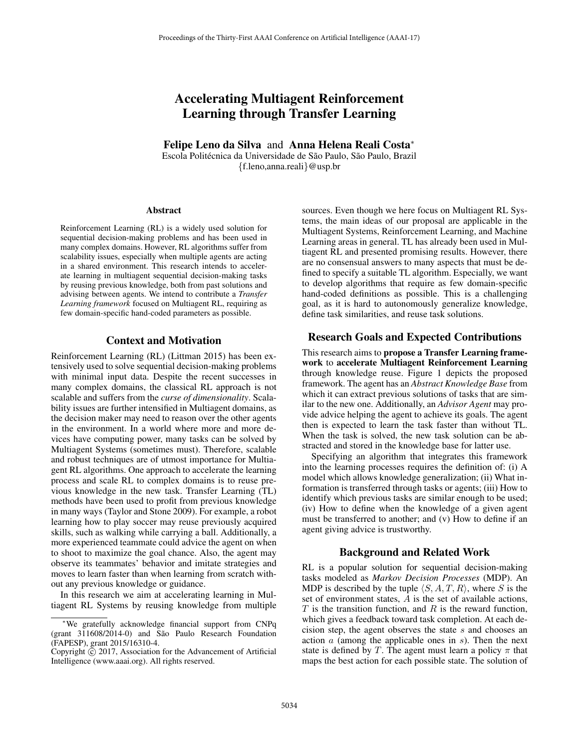# Accelerating Multiagent Reinforcement Learning through Transfer Learning

Felipe Leno da Silva and Anna Helena Reali Costa<sup>∗</sup> Escola Politécnica da Universidade de São Paulo, São Paulo, Brazil

{f.leno,anna.reali}@usp.br

#### Abstract

Reinforcement Learning (RL) is a widely used solution for sequential decision-making problems and has been used in many complex domains. However, RL algorithms suffer from scalability issues, especially when multiple agents are acting in a shared environment. This research intends to accelerate learning in multiagent sequential decision-making tasks by reusing previous knowledge, both from past solutions and advising between agents. We intend to contribute a *Transfer Learning framework* focused on Multiagent RL, requiring as few domain-specific hand-coded parameters as possible.

## Context and Motivation

Reinforcement Learning (RL) (Littman 2015) has been extensively used to solve sequential decision-making problems with minimal input data. Despite the recent successes in many complex domains, the classical RL approach is not scalable and suffers from the *curse of dimensionality*. Scalability issues are further intensified in Multiagent domains, as the decision maker may need to reason over the other agents in the environment. In a world where more and more devices have computing power, many tasks can be solved by Multiagent Systems (sometimes must). Therefore, scalable and robust techniques are of utmost importance for Multiagent RL algorithms. One approach to accelerate the learning process and scale RL to complex domains is to reuse previous knowledge in the new task. Transfer Learning (TL) methods have been used to profit from previous knowledge in many ways (Taylor and Stone 2009). For example, a robot learning how to play soccer may reuse previously acquired skills, such as walking while carrying a ball. Additionally, a more experienced teammate could advice the agent on when to shoot to maximize the goal chance. Also, the agent may observe its teammates' behavior and imitate strategies and moves to learn faster than when learning from scratch without any previous knowledge or guidance.

In this research we aim at accelerating learning in Multiagent RL Systems by reusing knowledge from multiple sources. Even though we here focus on Multiagent RL Systems, the main ideas of our proposal are applicable in the Multiagent Systems, Reinforcement Learning, and Machine Learning areas in general. TL has already been used in Multiagent RL and presented promising results. However, there are no consensual answers to many aspects that must be defined to specify a suitable TL algorithm. Especially, we want to develop algorithms that require as few domain-specific hand-coded definitions as possible. This is a challenging goal, as it is hard to autonomously generalize knowledge, define task similarities, and reuse task solutions.

## Research Goals and Expected Contributions

This research aims to propose a Transfer Learning framework to accelerate Multiagent Reinforcement Learning through knowledge reuse. Figure 1 depicts the proposed framework. The agent has an *Abstract Knowledge Base* from which it can extract previous solutions of tasks that are similar to the new one. Additionally, an *Advisor Agent* may provide advice helping the agent to achieve its goals. The agent then is expected to learn the task faster than without TL. When the task is solved, the new task solution can be abstracted and stored in the knowledge base for latter use.

Specifying an algorithm that integrates this framework into the learning processes requires the definition of: (i) A model which allows knowledge generalization; (ii) What information is transferred through tasks or agents; (iii) How to identify which previous tasks are similar enough to be used; (iv) How to define when the knowledge of a given agent must be transferred to another; and (v) How to define if an agent giving advice is trustworthy.

## Background and Related Work

RL is a popular solution for sequential decision-making tasks modeled as *Markov Decision Processes* (MDP). An MDP is described by the tuple  $\langle S, A, T, R \rangle$ , where S is the set of environment states, A is the set of available actions,  $T$  is the transition function, and  $R$  is the reward function, which gives a feedback toward task completion. At each decision step, the agent observes the state s and chooses an action  $a$  (among the applicable ones in  $s$ ). Then the next state is defined by T. The agent must learn a policy  $\pi$  that maps the best action for each possible state. The solution of

<sup>∗</sup>We gratefully acknowledge financial support from CNPq (grant 311608/2014-0) and São Paulo Research Foundation (FAPESP), grant 2015/16310-4.

Copyright  $\odot$  2017, Association for the Advancement of Artificial Intelligence (www.aaai.org). All rights reserved.